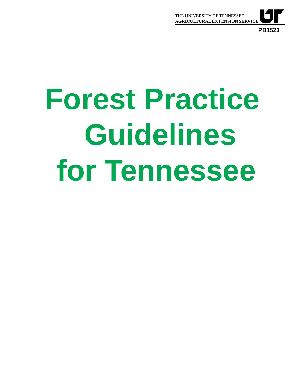

# **Forest Practice Guidelines for Tennessee**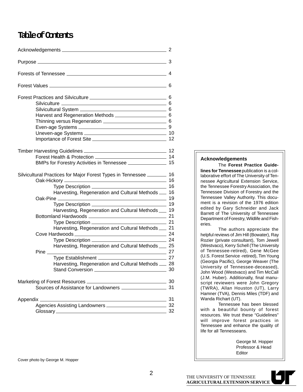### **Table of Contents**

| BMPs for Forestry Activities in Tennessee <b>[149]</b> 15               |    |  |  |
|-------------------------------------------------------------------------|----|--|--|
| Silvicultural Practices for Major Forest Types in Tennessee ________ 16 |    |  |  |
|                                                                         |    |  |  |
|                                                                         |    |  |  |
| Harvesting, Regeneration and Cultural Methods __ 16                     |    |  |  |
|                                                                         |    |  |  |
|                                                                         |    |  |  |
| Harvesting, Regeneration and Cultural Methods __ 19                     |    |  |  |
|                                                                         |    |  |  |
|                                                                         |    |  |  |
| Harvesting, Regeneration and Cultural Methods __ 21                     |    |  |  |
|                                                                         |    |  |  |
| Harvesting, Regeneration and Cultural Methods __ 25                     |    |  |  |
| $\overline{\phantom{a}}$ 27<br>$Pine$ <sub><math>-</math></sub>         |    |  |  |
|                                                                         |    |  |  |
| Harvesting, Regeneration and Cultural Methods __ 28                     |    |  |  |
|                                                                         |    |  |  |
|                                                                         |    |  |  |
| Sources of Assistance for Landowners __________________                 | 31 |  |  |
|                                                                         |    |  |  |
|                                                                         |    |  |  |
| 32                                                                      |    |  |  |

#### **Acknowledgements**

The **Forest Practice Guidelines for Tennessee** publication is a collaborative effort of The University of Tennessee Agricultural Extension Service, the Tennessee Forestry Association, the Tennessee Division of Forestry and the Tennessee Valley Authority. This document is a revision of the 1976 edition edited by Gary Schneider and Jack Barrett of The University of Tennessee Department of Forestry, Wildlife and Fisheries.

The authors appreciate the helpful reviews of Jim Hill (Bowater), Ray Rozier (private consultant), Tom Jewell (Westvaco), Kerry Schell (The University of Tennessee-retired), Gene McGee (U.S. Forest Service -retired), Tim Young (Georgia Pacific), George Weaver (The University of Tennessee-deceased), John Wood (Westvaco) and Tim McCall (J.M. Huber). Additionally, final manuscript reviewers were John Gregory (TWRA), Allan Houston (UT), Larry Hamner (TVA), Dennis Miles (TDF) and Wanda Richart (UT).

Tennessee has been blessed with a beautiful bounty of forest resources. We trust these "Guidelines" will improve forest practices in Tennessee and enhance the quality of life for all Tennesseans.

> George M. Hopper Professor & Head Editor

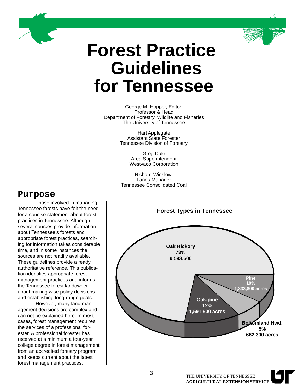

## **Forest Practice Guidelines for Tennessee**

George M. Hopper, Editor Professor & Head Department of Forestry, Wildlife and Fisheries The University of Tennessee

> Hart Applegate Assistant State Forester Tennessee Division of Forestry

> > Greg Dale Area Superintendent Westvaco Corporation

Richard Winslow Lands Manager Tennessee Consolidated Coal

### **Purpose**

Those involved in managing Tennessee forests have felt the need for a concise statement about forest practices in Tennessee. Although several sources provide information about Tennessee's forests and appropriate forest practices, searching for information takes considerable time, and in some instances the sources are not readily available. These guidelines provide a ready, authoritative reference. This publication identifies appropriate forest management practices and informs the Tennessee forest landowner about making wise policy decisions and establishing long-range goals.

However, many land management decisions are complex and can not be explained here. In most cases, forest management requires the services of a professional forester. A professional forester has received at a minimum a four-year college degree in forest management from an accredited forestry program, and keeps current about the latest forest management practices.

### **Forest Types in Tennessee**

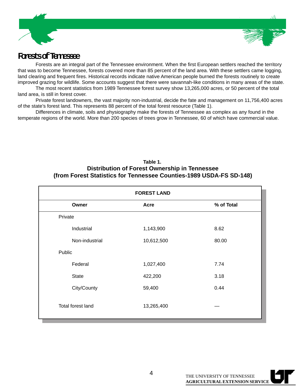



### **Forests of Tennessee**

Forests are an integral part of the Tennessee environment. When the first European settlers reached the territory that was to become Tennessee, forests covered more than 85 percent of the land area. With these settlers came logging, land clearing and frequent fires. Historical records indicate native American people burned the forests routinely to create improved grazing for wildlife. Some accounts suggest that there were savannah-like conditions in many areas of the state.

The most recent statistics from 1989 Tennessee forest survey show 13,265,000 acres, or 50 percent of the total land area, is still in forest cover.

Private forest landowners, the vast majority non-industrial, decide the fate and management on 11,756,400 acres of the state's forest land. This represents 88 percent of the total forest resource (Table 1).

Differences in climate, soils and physiography make the forests of Tennessee as complex as any found in the temperate regions of the world. More than 200 species of trees grow in Tennessee, 60 of which have commercial value.

### **Table 1. Distribution of Forest Ownership in Tennessee (from Forest Statistics for Tennessee Counties-1989 USDA-FS SD-148)**

| <b>FOREST LAND</b> |            |            |  |  |
|--------------------|------------|------------|--|--|
| Owner              | Acre       | % of Total |  |  |
| Private            |            |            |  |  |
| Industrial         | 1,143,900  | 8.62       |  |  |
| Non-industrial     | 10,612,500 | 80.00      |  |  |
| Public             |            |            |  |  |
| Federal            | 1,027,400  | 7.74       |  |  |
| <b>State</b>       | 422,200    | 3.18       |  |  |
| City/County        | 59,400     | 0.44       |  |  |
| Total forest land  | 13,265,400 |            |  |  |

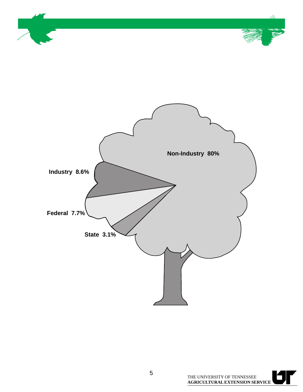

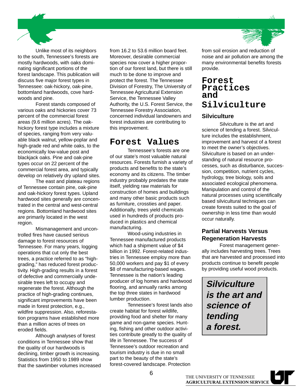Unlike most of its neighbors to the south, Tennessee's forests are mostly hardwoods, with oaks dominating significant portions of the forest landscape. This publication will discuss five major forest types in Tennessee: oak-hickory, oak-pine, bottomland hardwoods, cove hardwoods and pine.

Forest stands composed of various oaks and hickories cover 73 percent of the commercial forest areas (9.6 million acres). The oakhickory forest type includes a mixture of species, ranging from very valuable black walnut, yellow-poplar and high-grade red and white oaks, to the economically low-value post and blackjack oaks. Pine and oak-pine types occur on 22 percent of the commercial forest area, and typically develop on relatively dry upland sites.

The east and plateau regions of Tennessee contain pine, oak-pine and oak-hickory forest types. Upland hardwood sites generally are concentrated in the central and west-central regions. Bottomland hardwood sites are primarily located in the west region.

Mismanagement and uncontrolled fires have caused serious damage to forest resources of Tennessee. For many years, logging operations that cut only the best trees, a practice referred to as "highgrading," has reduced forest productivity. High-grading results in a forest of defective and commercially undesirable trees left to occupy and regenerate the forest. Although the practice of high-grading continues, significant improvements have been made in forest protection, e.g., wildfire suppression. Also, reforestation programs have established more than a million acres of trees on eroded fields.

Although analyses of forest conditions in Tennessee show that the quality of our hardwoods is declining, timber growth is increasing. Statistics from 1950 to 1989 show that the sawtimber volumes increased from 16.2 to 53.6 million board feet. Moreover, desirable commercial species now cover a higher proportion of our forest land, but there is still much to be done to improve and protect the forest. The Tennessee Division of Forestry, The University of Tennessee Agricultural Extension Service, the Tennessee Valley Authority, the U.S. Forest Service, the Tennessee Forestry Association, concerned individual landowners and forest industries are contributing to this improvement.

### **Forest Values**

Tennessee's forests are one of our state's most valuable natural resources. Forests furnish a variety of products and benefits to the state's economy and its citizens. The timber industry probably predates the state itself, yielding raw materials for construction of homes and buildings and many other basic products such as furniture, crossties and paper. Additionally, trees yield chemicals used in hundreds of products produced in plastics and chemical manufacturing.

Wood-using industries in Tennessee manufactured products which had a shipment value of \$4 billion in 1992. Forest-related industries in Tennessee employ more than 50,000 workers and pay \$1 of every \$8 of manufacturing-based wages. Tennessee is the nation's leading producer of log homes and hardwood flooring, and annually ranks among the top three states in hardwood lumber production.

Tennessee's forest lands also create habitat for forest wildlife, providing food and shelter for many game and non-game species. Hunting, fishing and other outdoor activities contribute greatly to the quality of life in Tennessee. The success of Tennessee's outdoor recreation and tourism industry is due in no small part to the beauty of the state's forest-covered landscape. Protection



from soil erosion and reduction of noise and air pollution are among the many environmental benefits forests provide.

### **Forest Practices and Silviculture**

### **Silviculture**

Silviculture is the art and science of tending a forest. Silviculture includes the establishment, improvement and harvest of a forest to meet the owner's objectives. Silviculture is based on an understanding of natural resource processes, such as disturbance, succession, competition, nutrient cycles, hydrology, tree biology, soils and associated ecological phenomena. Manipulation and control of the natural processes using scientifically based silvicultural techniques can create forests suited to the goal of ownership in less time than would occur naturally.

### **Partial Harvests Versus Regeneration Harvests**

Forest management generally includes harvesting trees. Trees that are harvested and processed into products continue to benefit people by providing useful wood products.

**Silviculture is the art and science of tending a forest.**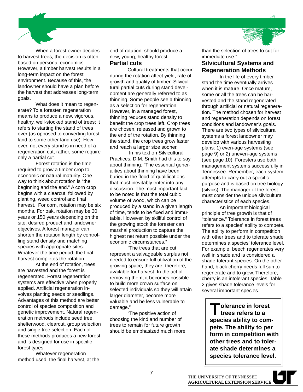

When a forest owner decides to harvest trees, the decision is often based on personal economics. However, a timber harvest results in a long-term impact on the forest environment. Because of this, the landowner should have a plan before the harvest that addresses long-term goals.

What does it mean to regenerate? To a forester, regeneration means to produce a new, vigorous, healthy, well-stocked stand of trees; it refers to starting the stand of trees over (as opposed to converting forest land to some other land use). However, not every stand is in need of a regeneration cut; rather, some require only a partial cut.

Forest rotation is the time required to grow a timber crop to economic or natural maturity. One way to think about rotation is "the beginning and the end." A corn crop begins with a clearcut, followed by planting, weed control and final harvest. For corn, rotation may be six months. For oak, rotation may be 30 years or 150 years depending on the site, desired product and landowner objectives. A forest manager can shorten the rotation length by controlling stand density and matching species with appropriate sites. Whatever the time period, the final harvest completes the rotation.

At the end of rotation, trees are harvested and the forest is regenerated. Forest regeneration systems are effective when properly applied. Artificial regeneration involves planting seeds or seedlings. Advantages of this method are better control of species composition and genetic improvement. Natural regeneration methods include seed tree, shelterwood, clearcut, group selection and single tree selection. Each of these methods produces a new forest and is designed for use in specific forest types.

Whatever regeneration method used, the final harvest, at the end of rotation, should produce a new, young, healthy forest. **Partial cuts**

Cultural treatments that occur during the rotation affect yield, rate of growth and quality of timber. Silvicultural partial cuts during stand development are generally referred to as thinning. Some people see a thinning as a selection for regeneration. However, in a managed forest, thinning reduces stand density to benefit the crop trees left. Crop trees are chosen, released and grown to the end of the rotation. By thinning the stand, the crop trees grow faster and reach a larger size sooner.

 In his text on Silvicultural Practices, D.M. Smith had this to say about thinning: "The essential generalities about thinning have been buried in the flood of qualifications that must inevitably enter into any discussion. The most important fact to be noted is that the total cubic volume of wood, which can be produced by a stand in a given length of time, tends to be fixed and immutable. However, by skillful control of the growing stock the forester can marshal production to capture the highest net return possible under the economic circumstances."

"The trees that are cut represent a salvageable surplus not needed to ensure full utilization of the growing space; they are, therefore, available for harvest. In the act of removing them, it becomes possible to build more crown surface on selected individuals so they will attain larger diameter, become more valuable and be less vulnerable to damage."

"The positive action of choosing the kind and number of trees to remain for future growth should be emphasized much more than the selection of trees to cut for immediate use."

### **Silvicultural Systems and Regeneration Methods**

In the life of every timber stand the time eventually arrives when it is mature. Once mature, some or all the trees can be harvested and the stand regenerated through artificial or natural regeneration. The method chosen for harvest and regeneration depends on forest conditions and landowner's goals. There are two types of silvicultural systems a forest landowner may develop with various harvesting plans: 1) even-age systems (see page 9) or 2) uneven-age systems (see page 10). Foresters use both management systems successfully in Tennessee. Remember, each system attempts to carry out a specific purpose and is based on tree biology (silvics). The manager of the forest must consider the unique silvicultural characteristics of each species.

An important biological principle of tree growth is that of "tolerance." Tolerance in forest trees refers to a species' ability to compete. The ability to perform in competition with other trees and to tolerate shade determines a species' tolerance level. For example, beech regenerates very well in shade and is considered a shade-tolerant species. On the other hand, black cherry needs full sun to regenerate and to grow. Therefore, cherry is an intolerant species. Table 2 gives shade tolerance levels for several important species.

**Tolerance in forest trees refers to a species ability to compete. The ability to per form in competition with other trees and to tolerate shade determines a species tolerance level.**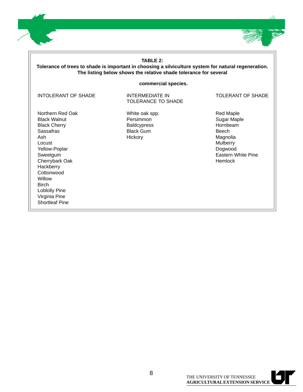

| <b>TABLE 2:</b><br>Tolerance of trees to shade is important in choosing a silviculture system for natural regeneration.<br>The listing below shows the relative shade tolerance for several                                                                 |                                                                                  |                                                                                                                                 |  |  |
|-------------------------------------------------------------------------------------------------------------------------------------------------------------------------------------------------------------------------------------------------------------|----------------------------------------------------------------------------------|---------------------------------------------------------------------------------------------------------------------------------|--|--|
| commercial species.                                                                                                                                                                                                                                         |                                                                                  |                                                                                                                                 |  |  |
| <b>INTOLERANT OF SHADE</b>                                                                                                                                                                                                                                  | <b>INTERMEDIATE IN</b><br><b>TOLERANCE TO SHADE</b>                              | <b>TOLERANT OF SHADE</b>                                                                                                        |  |  |
| Northern Red Oak<br><b>Black Walnut</b><br><b>Black Cherry</b><br>Sassafras<br>Ash<br>Locust<br>Yellow-Poplar<br>Sweetgum<br>Cherrybark Oak<br>Hackberry<br>Cottonwood<br>Willow<br><b>Birch</b><br>Loblolly Pine<br>Virginia Pine<br><b>Shortleaf Pine</b> | White oak spp.<br>Persimmon<br><b>Baldcypress</b><br><b>Black Gum</b><br>Hickory | <b>Red Maple</b><br>Sugar Maple<br>Hornbeam<br>Beech<br>Magnolia<br><b>Mulberry</b><br>Dogwood<br>Eastern White Pine<br>Hemlock |  |  |

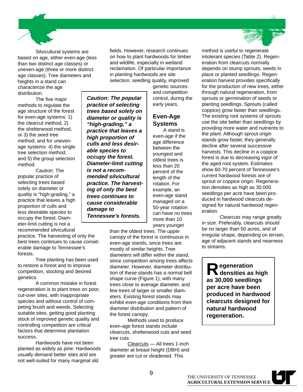Silvicultural systems are based on age, either even-age (less than two distinct age classes) or uneven-age (three or more distinct age classes). Tree diameters and heights in a stand can characterize the age distribution. **Caution: The popular**

The five major methods to regulate the age structure of the forest for even-age systems: 1) the clearcut method, 2) the shelterwood method, or 3) the seed tree method; and for unevenage systems: 4) the single tree selection method, and 5) the group selection method.

Caution: The popular practice of selecting trees based solely on diameter or quality is "high-grading," a practice that leaves a high proportion of culls and less desirable species to occupy the forest. Diameter-limit cutting is not a recommended silvicultural

practice. The harvesting of only the best trees continues to cause considerable damage to Tennessee's forests.

Tree planting has been used to restore a forest and to improve competition, stocking and desired genetics.

A common mistake in forest regeneration is to plant trees on poor, cut-over sites, with inappropriate species and without control of competing brush and weeds. Selecting suitable sites, getting good planting stock of improved genetic quality and controlling competition are critical factors that determine plantation success.

Hardwoods have not been planted as widely as pine. Hardwoods usually demand better sites and are not well-suited for many marginal old

fields. However, research continues on how to plant hardwoods for timber and wildlife, especially in wetland reclamation. Of particular importance in planting hardwoods are site selection, seedling quality, improved

**practice of selecting trees based solely on diameter or quality is "high-grading," a practice that leaves a high proportion of culls and less desirable species to occupy the forest. Diameter-limit cutting**

**is not a recommended silvicultural practice. The harvesting of only the best trees continues to cause considerable**

**damage to**

**Tennessee's forests.**

genetic sources and competition control, during the early years.

### **Even-Age Systems**

A stand is even-age if the age difference between the youngest and oldest trees is less than 20 percent of the length of the rotation. For example, an even-age stand managed on a 50-year rotation can have no trees more than 10 years younger

than the oldest trees. The upper canopy of the forest is continuous in even-age stands, since trees are mostly of similar heights. Tree diameters will differ within the stand, since competition among trees affects diameter. However, diameter distribution of these stands has a normal bell shape curve (Figure 1), with many trees close to average diameter, and few trees of larger or smaller diameters. Existing forest stands may exhibit even-age conditions from their diameter distribution and pattern of the forest canopy.

Methods used to produce even-age forest stands include clearcuts, shelterwood cuts and seed tree cuts.

Clearcuts — All trees 1-inch diameter at breast height (DBH) and greater are cut or deadened. This

method is useful to regenerate intolerant species (Table 2). Regeneration from clearcuts normally depends on stump sprouts, seeds in place or planted seedlings. Regeneration harvest provides specifically for the production of new trees, either through natural regeneration, from sprouts or germination of seeds or planting seedlings. Sprouts (called coppice) grow faster than seedlings. The existing root systems of sprouts use the site better than seedlings by providing more water and nutrients to the plant. Although sprout origin stands grow faster, they generally decline after several successive harvests. This decline in a coppice forest is due to decreasing vigor of the aged root system. Estimates show 60-70 percent of Tennessee's current hardwood forests are of sprout or coppice origin. Regeneration densities as high as 30,000 seedlings per acre have been produced in hardwood clearcuts designed for natural hardwood regeneration.

Clearcuts may range greatly in size. Preferably, clearcuts should be no larger than 50 acres, and of irregular shape, depending on terrain, age of adjacent stands and nearness to streams.

**Regeneration densities as high as 30,000 seedlings per acre have been produced in hardwood clearcuts designed for natural hardwood regeneration.**





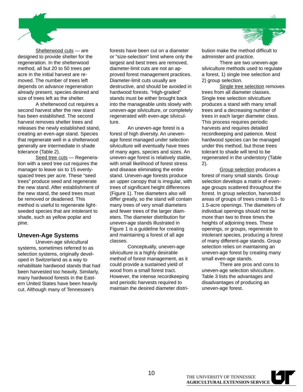Shelterwood cuts — are designed to provide shelter for the regeneration. In the shelterwood method, all but 20 to 50 trees per acre in the initial harvest are removed. The number of trees left depends on advance regeneration already present, species desired and size of trees left as the shelter.

A shelterwood cut requires a second harvest after the new stand has been established. The second harvest removes shelter trees and releases the newly established stand, creating an even-age stand. Species that regenerate well in a shelterwood generally are intermediate in shade tolerance (Table 2).

Seed tree cuts - Regeneration with a seed tree cut requires the manager to leave six to 15 evenlyspaced trees per acre. These "seed trees" produce seed and regenerate the new stand. After establishment of the new stand, the seed trees must be removed or deadened. This method is useful to regenerate lightseeded species that are intolerant to shade, such as yellow poplar and pine.

### **Uneven-Age Systems**

Uneven-age silvicultural systems, sometimes referred to as selection systems, originally developed in Switzerland as a way to rehabilitate hardwood stands that had been harvested too heavily. Similarly, many hardwood forests in the Eastern United States have been heavily cut. Although many of Tennessee's

forests have been cut on a diameter or "size-selection" limit where only the largest and best trees are removed, diameter-limit cuts are not an approved forest management practices. Diameter-limit cuts usually are destructive, and should be avoided in hardwood forests. "High-graded" stands must be either brought back into the manageable units slowly with uneven-age silviculture, or completely regenerated with even-age silviculture.

An uneven-age forest is a forest of high diversity. An unevenage forest managed under selection silviculture will eventually have trees of many ages, species and sizes. An uneven-age forest is relatively stable, with small likelihood of forest stress and disease eliminating the entire stand. Uneven-age forests produce an upper canopy that is irregular, with trees of significant height differences (Figure 1). Tree diameters also will differ greatly, so the stand will contain many trees of very small diameters and fewer trees of the larger diameters. The diameter distribution for uneven-age stands illustrated in Figure 1 is a guideline for creating and maintaining a forest of all age classes.

Conceptually, uneven-age silviculture is a highly desirable method of forest management, as it could provide a sustained yield of wood from a small forest tract. However, the intense recordkeeping and periodic harvests required to maintain the desired diameter distri-



bution make the method difficult to administer and practice.

There are two uneven-age silviculture methods used to regulate a forest, 1) single tree selection and 2) group selection.

Single tree selection removes trees from all diameter classes. Single tree selection silviculture produces a stand with many small trees and a decreasing number of trees in each larger diameter class. This process requires periodic harvests and requires detailed recordkeeping and patience. Most hardwood species can be managed under this method, but those trees tolerant to shade will tend to be regenerated in the understory (Table 2).

Group selection produces a forest of many small stands. Group selection develops a matrix of evenage groups scattered throughout the forest. In group selection, harvested areas of groups of trees create 0.1- to 1.5-acre openings. The diameters of individual openings should not be more than two to three times the heights of adjoining trees. These openings, or groups, regenerate to intolerant species, producing a forest of many different-age stands. Group selection relies on maintaining an uneven-age forest by creating many small even-age stands.

There are pros and cons to uneven-age selection silviculture. Table 3 lists the advantages and disadvantages of producing an uneven-age forest.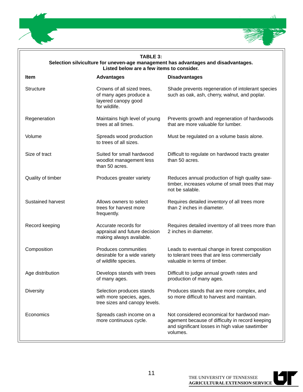

### **TABLE 3:**

**Selection silviculture for uneven-age management has advantages and disadvantages. Listed below are a few items to consider.**

| <b>Item</b>              | <b>Advantages</b>                                                                            | <b>Disadvantages</b>                                                                                                                                         |
|--------------------------|----------------------------------------------------------------------------------------------|--------------------------------------------------------------------------------------------------------------------------------------------------------------|
| <b>Structure</b>         | Crowns of all sized trees,<br>of many ages produce a<br>layered canopy good<br>for wildlife. | Shade prevents regeneration of intolerant species<br>such as oak, ash, cherry, walnut, and poplar.                                                           |
| Regeneration             | Maintains high level of young<br>trees at all times.                                         | Prevents growth and regeneration of hardwoods<br>that are more valuable for lumber.                                                                          |
| Volume                   | Spreads wood production<br>to trees of all sizes.                                            | Must be regulated on a volume basis alone.                                                                                                                   |
| Size of tract            | Suited for small hardwood<br>woodlot management less<br>than 50 acres.                       | Difficult to regulate on hardwood tracts greater<br>than 50 acres.                                                                                           |
| Quality of timber        | Produces greater variety                                                                     | Reduces annual production of high quality saw-<br>timber, increases volume of small trees that may<br>not be salable.                                        |
| <b>Sustained harvest</b> | Allows owners to select<br>trees for harvest more<br>frequently.                             | Requires detailed inventory of all trees more<br>than 2 inches in diameter.                                                                                  |
| Record keeping           | Accurate records for<br>appraisal and future decision<br>making always available.            | Requires detailed inventory of all trees more than<br>2 inches in diameter.                                                                                  |
| Composition              | Produces communities<br>desirable for a wide variety<br>of wildlife species.                 | Leads to eventual change in forest composition<br>to tolerant trees that are less commercially<br>valuable in terms of timber.                               |
| Age distribution         | Develops stands with trees<br>of many ages.                                                  | Difficult to judge annual growth rates and<br>production of many ages.                                                                                       |
| <b>Diversity</b>         | Selection produces stands<br>with more species, ages,<br>tree sizes and canopy levels.       | Produces stands that are more complex, and<br>so more difficult to harvest and maintain.                                                                     |
| Economics                | Spreads cash income on a<br>more continuous cycle.                                           | Not considered economical for hardwood man-<br>agement because of difficulty in record keeping<br>and significant losses in high value sawtimber<br>volumes. |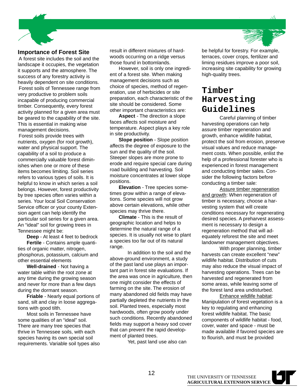

### **Importance of Forest Site**

A forest site includes the soil and the landscape it occupies, the vegetation it supports and the atmosphere. The success of any forestry activity is heavily dependent on site conditions. Forest soils of Tennessee range from very productive to problem soils incapable of producing commercial timber. Consequently, every forest activity planned for a given area must be geared to the capability of the site. This is essential in making wise management decisions.

Forest soils provide trees with nutrients, oxygen (for root growth), water and physical support. The capability of a soil to produce a commercially valuable forest diminishes when one or more of these items becomes limiting. Soil series refers to various types of soils. It is helpful to know in which series a soil belongs. However, forest productivity by tree species often varies within a series. Your local Soil Conservation Service officer or your county Extension agent can help identify the particular soil series for a given area. An "ideal" soil for growing trees in Tennessee might be:

**Deep** - At least 4 feet to bedrock **Fertile** - Contains ample quantities of organic matter, nitrogen, phosphorus, potassium, calcium and other essential elements

**Well-drained** - Not having a water table within the root zone at any time during the growing season and never for more than a few days during the dormant season.

**Friable** - Nearly equal portions of sand, silt and clay in loose aggregations with good tilth.

Most soils in Tennessee have some qualities of an "ideal" soil. There are many tree species that thrive in Tennessee soils, with each species having its own special soil requirements. Variable soil types also result in different mixtures of hardwoods occurring on a ridge versus those found in bottomlands.

However, soil is only one ingredient of a forest site. When making management decisions such as choice of species, method of regeneration, use of herbicides or site preparation, each characteristic of the site should be considered. Some other important characteristics are:

**Aspect** - The direction a slope faces affects soil moisture and temperature. Aspect plays a key role in site productivity.

**Slope position** - Slope position affects the degree of exposure to the sun and the quality of the soil. Steeper slopes are more prone to erode and require special care during road building and harvesting. Soil moisture concentrates at lower slope positions.

**Elevation** - Tree species sometimes grow within a range of elevations. Some species will not grow above certain elevations, while other species may thrive there.

**Climate** - This is the result of geographic location and helps to determine the natural range of a species. It is usually not wise to plant a species too far out of its natural range.

In addition to the soil and the above-ground environment, a study of the past land use plays an important part in forest site evaluations. If the area was once in agriculture, then one might consider the effects of farming on the site. The erosion of many abandoned old fields may have partially depleted the nutrients in the soil. Planted trees, especially most hardwoods, often grow poorly under such conditions. Recently abandoned fields may support a heavy sod cover that can prevent the rapid development of planted trees.

Yet, past land use also can



terraces, cover crops, fertilizer and liming residues improve a poor soil, increasing site capability for growing high-quality trees.

### **Timber Harvesting Guidelines**

Careful planning of timber harvesting operations can help assure timber regeneration and growth, enhance wildlife habitat, protect the soil from erosion, preserve visual values and reduce management costs. When possible, enlist the help of a professional forester who is experienced in forest management and conducting timber sales. Consider the following factors before conducting a timber sale:

Assure timber regeneration and growth: When regeneration of timber is necessary, choose a harvesting system that will create conditions necessary for regenerating desired species. A preharvest assessment is necessary to design a regeneration method that will adequately reforest the site and meet landowner management objectives.

With proper planning, timber harvests can create excellent "new" wildlife habitat. Distribution of cuts may also reduce the visual impact of harvesting operations. Trees can be harvested and regenerated from some areas, while leaving some of the forest land area undisturbed.

Enhance wildlife habitat: Manipulation of forest vegetation is a key to regulating and enhancing forest wildlife habitat. The basic components of wildlife habitat - food, cover, water and space - must be made available if favored species are to flourish, and must be provided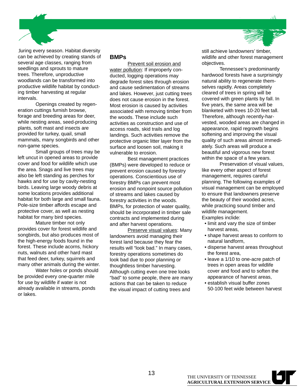

during every season. Habitat diversity can be achieved by creating stands of several age classes, ranging from seedlings and sprouts to mature trees. Therefore, unproductive woodlands can be transformed into productive wildlife habitat by conducting timber harvesting at regular intervals.

Openings created by regeneration cuttings furnish browse, forage and breeding areas for deer, while nesting areas, seed-producing plants, soft mast and insects are provided for turkey, quail, small mammals, many songbirds and other non-game species.

Small groups of trees may be left uncut in opened areas to provide cover and food for wildlife which use the area. Snags and live trees may also be left standing as perches for hawks and for use by cavity-nesting birds. Leaving large woody debris at some locations provides additional habitat for both large and small fauna. Pole-size timber affords escape and protective cover, as well as nesting habitat for many bird species.

Mature timber not only provides cover for forest wildlife and songbirds, but also produces most of the high-energy foods found in the forest. These include acorns, hickory nuts, walnuts and other hard mast that feed deer, turkey, squirrels and many other animals during the winter.

Water holes or ponds should be provided every one-quarter mile for use by wildlife if water is not already available in streams, ponds or lakes.

#### **BMPs**

Prevent soil erosion and water pollution: If improperly conducted, logging operations may degrade forest sites through erosion and cause sedimentation of streams and lakes. However, just cutting trees does not cause erosion in the forest. Most erosion is caused by activities associated with removing timber from the woods. These include such activities as construction and use of access roads, skid trails and log landings. Such activities remove the protective organic litter layer from the surface and loosen soil, making it vulnerable to erosion.

Best management practices (BMPs) were developed to reduce or prevent erosion caused by forestry operations. Conscientious use of forestry BMPs can prevent most erosion and nonpoint source pollution of streams and lakes caused by forestry activities in the woods. BMPs, for protection of water quality, should be incorporated in timber sale contracts and implemented during and after harvest operations.

Preserve visual values: Many landowners avoid managing their forest land because they fear the results will "look bad." In many cases, forestry operations sometimes do look bad due to poor planning or thoughtless timber harvesting. Although cutting even one tree looks "bad" to some people, there are many actions that can be taken to reduce the visual impact of cutting trees and

still achieve landowners' timber, wildlife and other forest management objectives.

Tennessee's predominantly hardwood forests have a surprisingly natural ability to regenerate themselves rapidly. Areas completely cleared of trees in spring will be covered with green plants by fall. In five years, the same area will be blanketed with trees 10-20 feet tall. Therefore, although recently-harvested, wooded areas are changed in appearance, rapid regrowth begins softening and improving the visual quality of such areas almost immediately. Such areas will produce a beautiful and vigorous new forest within the space of a few years.

Preservation of visual values, like every other aspect of forest management, requires careful planning. The following examples of visual management can be employed to ensure that landowners preserve the beauty of their wooded acres, while practicing sound timber and wildlife management. Examples inclide:

- limit and vary the size of timber harvest areas,
- shape harvest areas to conform to natural landform,
- disperse harvest areas throughout the forest area,
- leave a 1/10 to one-acre patch of trees in open areas for wildlife cover and food and to soften the appearance of harvest areas,
- establish visual buffer zones 50-100 feet wide between harvest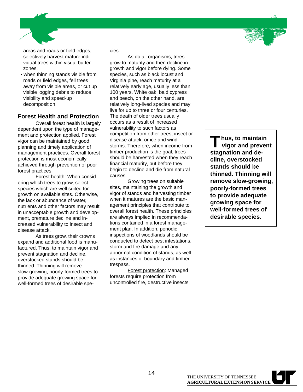

areas and roads or field edges, selectively harvest mature individual trees within visual buffer zones,

 • when thinning stands visible from roads or field edges, fell trees away from visible areas, or cut up visible logging debris to reduce visibility and speed-up decomposition.

### **Forest Health and Protection**

Overall forest health is largely dependent upon the type of management and protection applied. Forest vigor can be maintained by good planning and timely application of management practices. Overall forest protection is most economically achieved through prevention of poor forest practices.

Forest health: When considering which trees to grow, select species which are well suited for growth on available sites. Otherwise, the lack or abundance of water, nutrients and other factors may result in unacceptable growth and development, premature decline and increased vulnerability to insect and disease attack.

As trees grow, their crowns expand and additional food is manufactured. Thus, to maintain vigor and prevent stagnation and decline, overstocked stands should be thinned. Thinning will remove slow-growing, poorly-formed trees to provide adequate growing space for well-formed trees of desirable species.

As do all organisms, trees grow to maturity and then decline in growth and vigor before dying. Some species, such as black locust and Virginia pine, reach maturity at a relatively early age, usually less than 100 years. White oak, bald cypress and beech, on the other hand, are relatively long-lived species and may live for up to three or four centuries. The death of older trees usually occurs as a result of increased vulnerability to such factors as competition from other trees, insect or disease attack, or ice and wind storms. Therefore, when income from timber production is the goal, trees should be harvested when they reach financial maturity, but before they begin to decline and die from natural causes.

Growing trees on suitable sites, maintaining the growth and vigor of stands and harvesting timber when it matures are the basic management principles that contribute to overall forest health. These principles are always implied in recommendations contained in a forest management plan. In addition, periodic inspections of woodlands should be conducted to detect pest infestations, storm and fire damage and any abnormal condition of stands, as well as instances of boundary and timber trespass.

Forest protection: Managed forests require protection from uncontrolled fire, destructive insects,

**Thus, to maintain vigor and prevent stagnation and decline, overstocked stands should be thinned. Thinning will remove slow-growing, poorly-formed trees to provide adequate growing space for well-formed trees of desirable species.**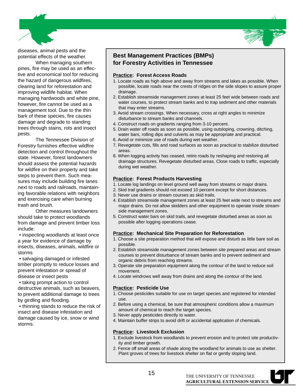

diseases, animal pests and the potential effects of the weather.

When managing southern pines, fire may be used as an effective and economical tool for reducing the hazard of dangerous wildfires, clearing land for reforestation and improving wildlife habitat. When managing hardwoods and white pine, however, fire cannot be used as a management tool. Due to the thin bark of these species, fire causes damage and degrade to standing trees through stains, rots and insect pests.

The Tennessee Division of Forestry furnishes effective wildfire detection and control throughout the state. However, forest landowners should assess the potential hazards for wildfire on their property and take steps to prevent them. Such measures may include building fire lanes next to roads and railroads, maintaining favorable relations with neighbors and exercising care when burning trash and brush.

Other measures landowners should take to protect woodlands from damage and prevent timber loss include:

 • inspecting woodlands at least once a year for evidence of damage by insects, diseases, animals, wildfire or storms

 • salvaging damaged or infested timber promptly to reduce losses and prevent infestation or spread of disease or insect pests

 • taking prompt action to control destructive animals, such as beavers, to prevent additional damage to trees by girdling and flooding.

 • thinning stands to reduce the risk of insect and disease infestation and damage caused by ice, snow or wind storms.

### **Best Management Practices (BMPs) for Forestry Activities in Tennessee**

### **Practice: Forest Access Roads**

- 1. Locate roads as high above and away from streams and lakes as possible. When possible, locate roads near the crests of ridges on the side slopes to assure proper drainage.
- 2. Establish streamside management zones at least 25 feet wide between roads and water courses, to protect stream banks and to trap sediment and other materials that may enter streams.
- 3. Avoid stream crossings. When necessary, cross at right angles to minimize disturbance to stream banks and channels.
- 4. Construct roads on gradients ranging from 3-10 percent.
- 5. Drain water off roads as soon as possible, using outsloping, crowning, ditching, water bars, rolling dips and culverts as may be appropriate and practical.
- 6. Avoid or minimize use of roads during wet weather.
- 7. Revegetate cuts, fills and road surfaces as soon as practical to stabilize disturbed areas.
- 8. When logging activity has ceased, retire roads by reshaping and restoring all drainage structures. Revegetate disturbed areas. Close roads to traffic, especially during wet weather.

### **Practice: Forest Products Harvesting**

- 1. Locate log landings on level ground well away from streams or major drains.
- 2. Skid trail gradients should not exceed 10 percent except for short distances.
- 3. Never use drains or stream courses as skid trails.
- 4. Establish streamside management zones at least 25 feet wide next to streams and major drains. Do not allow skidders and other equipment to operate inside streamside management zones.
- 5. Construct water bars on skid trails, and revegetate disturbed areas as soon as possible after logging operations cease.

### **Practice: Mechanical Site Preparation for Reforestation**

- 1. Choose a site preparation method that will expose and disturb as little bare soil as possible.
- 2. Establish streamside management zones between site prepared areas and stream courses to prevent disturbance of stream banks and to prevent sediment and organic debris from reaching streams.
- 3. Operate site preparation equipment along the contour of the land to reduce soil movement.
- 4. Locate windrows well away from drains and along the contour of the land.

### **Practice: Pesticide Use**

- 1. Choose pesticides suitable for use on target species and registered for intended use.
- 2. Before using a chemical, be sure that atmospheric conditions allow a maximum amount of chemical to reach the target species.
- 3. Never apply pesticides directly to water.
- 4. Maintain buffer strips to avoid drift or accidental application of chemicals.

### **Practice: Livestock Exclusion**

- 1. Exclude livestock from woodlands to prevent erosion and to protect site productivity and timber growth.
- 2. Fence off small areas of shade along the woodland for animals to use as shelter. Plant groves of trees for livestock shelter on flat or gently sloping land.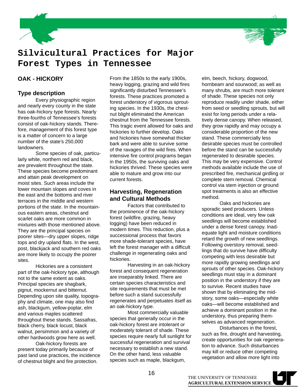



### **Silvicultural Practices for Major Forest Types in Tennessee**

### **OAK - HICKORY**

### **Type description**

Every physiographic region and nearly every county in the state has oak-hickory type forests. Nearly three-fourths of Tennessee's forests consist of oak-hickory stands. Therefore, management of this forest type is a matter of concern to a large number of the state's 250,000 landowners.

Some species of oak, particularly white, northern red and black, are prevalent throughout the state. These species become predominant and attain peak development on moist sites. Such areas include the lower mountain slopes and coves in the east and the bottoms and river terraces in the middle and western portions of the state. In the mountainous eastern areas, chestnut and scarlet oaks are more common in mixtures with those mentioned above. They are the principal species on poorer sites—dry upper slopes, ridge tops and dry upland flats. In the west, post, blackjack and southern red oaks are more likely to occupy the poorer sites.

Hickories are a consistent part of the oak-hickory type, although not to the same extent as oaks. Principal species are shagbark, pignut, mockernut and bitternut. Depending upon site quality, topography and climate, one may also find ash, blackgum, yellow-poplar, elm and various maples scattered throughout these stands. Sassafras, black cherry, black locust, black walnut, persimmon and a variety of other hardwoods grow here as well.

Oak-hickory forests are present today primarily because of past land use practices, the incidence of chestnut blight and fire protection.

From the 1850s to the early 1900s, heavy logging, grazing and wild fires significantly disturbed Tennessee's forests. These practices promoted a forest understory of vigorous sprouting species. In the 1930s, the chestnut blight eliminated the American chestnut from the Tennessee forests. This tragic event allowed for oaks and hickories to further develop. Oaks and hickories have somewhat thicker bark and were able to survive some of the ravages of the wild fires. When intensive fire control programs began in the 1950s, the surviving oaks and hickories thrived. These species were able to mature and grow into our current forests.

### **Harvesting, Regeneration and Cultural Methods**

Factors that contributed to the prominence of the oak-hickory forest (wildfire, grazing, heavy logging) have been reduced in modern times. This reduction, plus a successional process that favors more shade-tolerant species, have left the forest manager with a difficult challenge in regenerating oaks and hickories.

Harvesting in an oak-hickory forest and consequent regeneration are inseparably linked. There are certain species characteristics and site requirements that must be met before such a stand successfully regenerates and perpetuates itself as an oak-hickory type.

Most commercially valuable species that generally occur in the oak-hickory forest are intolerant or moderately tolerant of shade. These species require nearly full sunlight for successful regeneration and survival necessary to establish a new stand. On the other hand, less valuable species such as maple, blackgum,

elm, beech, hickory, dogwood, hornbeam and sourwood; as well as many shrubs, are much more tolerant of shade. These species not only reproduce readily under shade, either from seed or seedling sprouts, but will exist for long periods under a relatively dense canopy. When released, they grow rapidly and may occupy a considerable proportion of the new stand. These commercially less desirable species must be controlled before the stand can be successfully regenerated to desirable species. This may be very expensive. Control methods available include the use of prescribed fire, mechanical girdling or complete stem removal. Chemical control via stem injection or ground spot treatments is also an effective method.

Oaks and hickories are sporadic seed producers. Unless conditions are ideal, very few oak seedlings will become established under a dense forest canopy. Inadequate light and moisture conditions retard the growth of new seedlings. Following overstory removal, seedlings that do survive have difficulty competing with less desirable but more rapidly growing seedlings and sprouts of other species. Oak-hickory seedlings must stay in a dominant position in the understory if they are to survive. Recent studies have shown that by eliminating the midstory, some oaks—especially white oaks—will become established and achieve a dominant position in the understory, thus preparing themselves as advanced regeneration.

Disturbances in the forest, such as fire, drought and harvesting, create opportunities for oak regeneration to advance. Such disturbances may kill or reduce other competing vegetation and allow more light into

THE UNIVERSITY OF TENNESSEE **AGRICULTURAL EXTENSION SERVICE**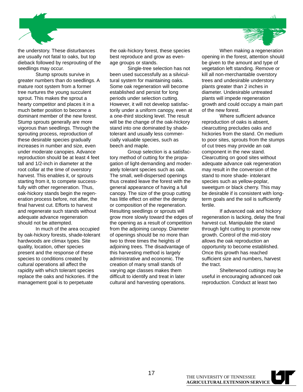

the understory. These disturbances are usually not fatal to oaks, but top dieback followed by resprouting of the seedlings may occur.

Stump sprouts survive in greater numbers than do seedlings. A mature root system from a former tree nurtures the young succulent sprout. This makes the sprout a hearty competitor and places it in a much better position to become a dominant member of the new forest. Stump sprouts generally are more vigorous than seedlings. Through the sprouting process, reproduction of these desirable species gradually increases in number and size, even under moderate canopies. Advance reproduction should be at least 4 feet tall and 1/2-inch in diameter at the root collar at the time of overstory harvest. This enables it, or sprouts starting from it, to compete successfully with other regeneration. Thus, oak-hickory stands begin the regeneration process before, not after, the final harvest cut. Efforts to harvest and regenerate such stands without adequate advance regeneration should not be attempted.

In much of the area occupied by oak-hickory forests, shade-tolerant hardwoods are climax types. Site quality, location, other species present and the response of these species to conditions created by cultural operations all affect the rapidity with which tolerant species replace the oaks and hickories. If the management goal is to perpetuate

the oak-hickory forest, these species best reproduce and grow as evenage groups or stands.

Single-tree selection has not been used successfully as a silvicultural system for maintaining oaks. Some oak regeneration will become established and persist for long periods under selection cutting. .<br>However, it will not develop satisfactorily under a uniform canopy, even at a one-third stocking level. The result will be the change of the oak-hickory stand into one dominated by shadetolerant and usually less commercially valuable species, such as beech and maple.

Group selection is a satisfactory method of cutting for the propagation of light-demanding and moderately tolerant species such as oak. The small, well-dispersed openings thus created leave the forest with the general appearance of having a full canopy. The size of the group cutting has little effect on either the density or composition of the regeneration. Resulting seedlings or sprouts will grow more slowly toward the edges of the opening as a result of competition from the adjoining canopy. Diameter of openings should be no more than two to three times the heights of adjoining trees. The disadvantage of this harvesting method is largely administrative and economic. The creation of many small stands of varying age classes makes them difficult to identify and treat in later cultural and harvesting operations.

When making a regeneration opening in the forest, attention should be given to the amount and type of vegetation left standing. Remove or kill all non-merchantable overstory trees and undesirable understory plants greater than 2 inches in diameter. Undesirable untreated plants will impede regeneration growth and could occupy a main part of the new forest.

Where sufficient advance reproduction of oaks is absent, clearcutting precludes oaks and hickories from the stand. On medium to poor sites, sprouts from the stumps of cut trees may provide an oak component in the new stand. Clearcutting on good sites without adequate advance oak regeneration may result in the conversion of the stand to more shade- intolerant species such as yellow-poplar, sweetgum or black cherry. This may be desirable if is consistent with longterm goals and the soil is sufficiently fertile.

If advanced oak and hickory regeneration is lacking, delay the final harvest cut. Manipulate the stand through light cutting to promote new growth. Control of the mid-story allows the oak reproduction an opportunity to become established. Once this growth has reached sufficient size and numbers, harvest the tract.

Shelterwood cuttings may be useful in encouraging advanced oak reproduction. Conduct at least two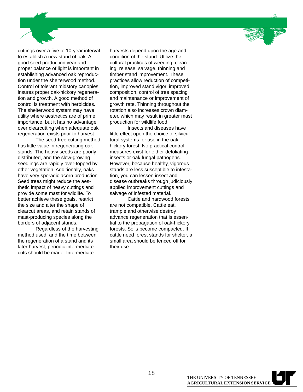

cuttings over a five to 10-year interval to establish a new stand of oak. A good seed production year and proper balance of light is important in establishing advanced oak reproduction under the shelterwood method. Control of tolerant midstory canopies insures proper oak-hickory regeneration and growth. A good method of control is treatment with herbicides. The shelterwood system may have utility where aesthetics are of prime importance, but it has no advantage over clearcutting when adequate oak regeneration exists prior to harvest.

The seed-tree cutting method has little value in regenerating oak stands. The heavy seeds are poorly distributed, and the slow-growing seedlings are rapidly over-topped by other vegetation. Additionally, oaks have very sporadic acorn production. Seed trees might reduce the aesthetic impact of heavy cuttings and provide some mast for wildlife. To better achieve these goals, restrict the size and alter the shape of clearcut areas, and retain stands of mast-producing species along the borders of adjacent stands.

Regardless of the harvesting method used, and the time between the regeneration of a stand and its later harvest, periodic intermediate cuts should be made. Intermediate

harvests depend upon the age and condition of the stand. Utilize the cultural practices of weeding, cleaning, release, salvage, thinning and timber stand improvement. These practices allow reduction of competition, improved stand vigor, improved composition, control of tree spacing and maintenance or improvement of growth rate. Thinning throughout the rotation also increases crown diameter, which may result in greater mast production for wildlife food.

Insects and diseases have little effect upon the choice of silvicultural systems for use in the oakhickory forest. No practical control measures exist for either defoliating insects or oak fungal pathogens. However, because healthy, vigorous stands are less susceptible to infestation, you can lessen insect and disease outbreaks through judiciously applied improvement cuttings and salvage of infested material.

Cattle and hardwood forests are not compatible. Cattle eat, trample and otherwise destroy advance regeneration that is essential to the propagation of oak-hickory forests. Soils become compacted. If cattle need forest stands for shelter, a small area should be fenced off for their use.

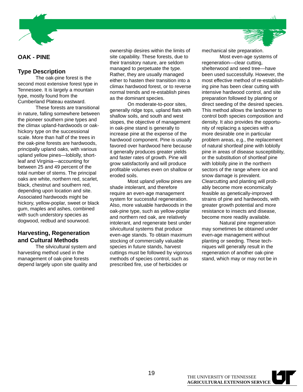

### **OAK - PINE**

### **Type Description**

The oak-pine forest is the second most extensive forest type in Tennessee. It is largely a mountain type, mostly found from the Cumberland Plateau eastward.

These forests are transitional in nature, falling somewhere between the pioneer southern pine types and the climax upland-hardwoods or oakhickory type on the successional scale. More than half of the trees in the oak-pine forests are hardwoods, principally upland oaks, with various upland yellow pines—loblolly, shortleaf and Virginia—accounting for between 25 and 49 percent of the total number of stems. The principal oaks are white, northern red, scarlet, black, chestnut and southern red, depending upon location and site. Associated hardwoods might be hickory, yellow-poplar, sweet or black gum, maples and ashes, combined with such understory species as dogwood, redbud and sourwood.

### **Harvesting, Regeneration and Cultural Methods**

The silvicultural system and harvesting method used in the management of oak-pine forests depend largely upon site quality and ownership desires within the limits of site capability. These forests, due to their transitory nature, are seldom managed to perpetuate the type. Rather, they are usually managed either to hasten their transition into a climax hardwood forest, or to reverse normal trends and re-establish pines as the dominant species.

On moderate-to-poor sites, generally ridge tops, upland flats with shallow soils, and south and west slopes, the objective of management in oak-pine stand is generally to increase pine at the expense of the hardwood component. Pine is usually favored over hardwood here because it generally produces greater yields and faster rates of growth. Pine will grow satisfactorily and will produce profitable volumes even on shallow or eroded soils.

Most upland yellow pines are shade intolerant, and therefore require an even-age management system for successful regeneration. Also, more valuable hardwoods in the oak-pine type, such as yellow-poplar and northern red oak, are relatively intolerant, and regenerate best under silvicultural systems that produce even-age stands. To obtain maximum stocking of commercially valuable species in future stands, harvest cuttings must be followed by vigorous methods of species control, such as prescribed fire, use of herbicides or

mechanical site preparation.

Most even-age systems of regeneration—clear cutting, shelterwood and seed tree—have been used successfully. However, the most effective method of re-establishing pine has been clear cutting with intensive hardwood control, and site preparation followed by planting or direct seeding of the desired species. This method allows the landowner to control both species composition and density. It also provides the opportunity of replacing a species with a more desirable one in particular problem areas, e.g., the replacement of natural shortleaf pine with loblolly pine in areas of disease susceptibility, or the substitution of shortleaf pine with loblolly pine in the northern sectors of the range where ice and snow damage is prevalent. Clearcutting and planting will probably become more economically feasible as genetically-improved strains of pine and hardwoods, with greater growth potential and more resistance to insects and disease, become more readily available.

Natural pine regeneration may sometimes be obtained under even-age management without planting or seeding. These techniques will generally result in the regeneration of another oak-pine stand, which may or may not be in

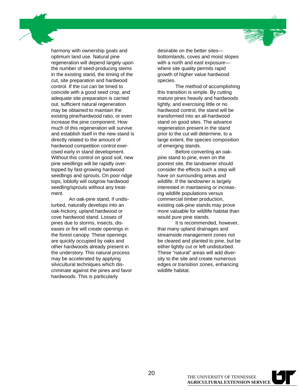harmony with ownership goals and optimum land use. Natural pine regeneration will depend largely upon the number of seed-producing stems in the existing stand, the timing of the cut, site preparation and hardwood control. If the cut can be timed to coincide with a good seed crop, and adequate site preparation is carried out, sufficient natural regeneration may be obtained to maintain the existing pine/hardwood ratio, or even increase the pine component. How much of this regeneration will survive and establish itself in the new stand is directly related to the amount of hardwood competition control exercised early in stand development. Without this control on good soil, new pine seedlings will be rapidly overtopped by fast-growing hardwood seedlings and sprouts. On poor ridge tops, loblolly will outgrow hardwood seedling/sprouts without any treatment.

An oak-pine stand, if undisturbed, naturally develops into an oak-hickory, upland hardwood or cove hardwood stand. Losses of pines due to storms, insects, diseases or fire will create openings in the forest canopy. These openings are quickly occupied by oaks and other hardwoods already present in the understory. This natural process may be accelerated by applying silvicultural techniques which discriminate against the pines and favor hardwoods. This is particularly

desirable on the better sites bottomlands, coves and moist slopes with a north and east exposure where site quality permits rapid growth of higher value hardwood species.

The method of accomplishing this transition is simple. By cutting mature pines heavily and hardwoods lightly, and exercising little or no hardwood control, the stand will be transformed into an all-hardwood stand on good sites. The advance regeneration present in the stand prior to the cut will determine, to a large extent, the species composition of emerging stands.

Before converting an oakpine stand to pine, even on the poorest site, the landowner should consider the effects such a step will have on surrounding areas and wildlife. If the landowner is largely interested in maintaining or increasing wildlife populations versus commercial timber production, existing oak-pine stands may prove more valuable for wildlife habitat than would pure pine stands.

It is recommended, however, that many upland drainages and streamside management zones not be cleared and planted to pine, but be either lightly cut or left undisturbed. These "natural" areas will add diversity to the site and create numerous edges or transition zones, enhancing wildlife habitat.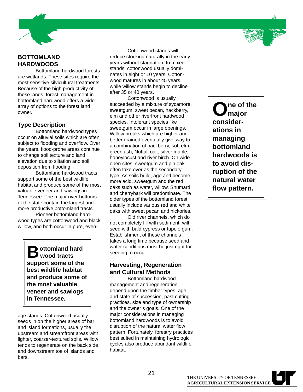



Bottomland hardwood forests are wetlands. These sites require the most sensitive silvicultural treatments. Because of the high productivity of these lands, forest management in bottomland hardwood offers a wide array of options to the forest land owner.

### **Type Description**

Bottomland hardwood types occur on alluvial soils which are often subject to flooding and overflow. Over the years, flood-prone areas continue to change soil texture and land elevation due to siltation and soil deposition from flooding.

Bottomland hardwood tracts support some of the best wildlife habitat and produce some of the most valuable veneer and sawlogs in Tennessee. The major river bottoms of the state contain the largest and more productive bottomland tracts.

Pioneer bottomland hardwood types are cottonwood and black willow, and both occur in pure, even-

> $\sum$  ottomland hard<br>  $\sum$  wood tracts **support some of the best wildlife habitat and produce some of the most valuable veneer and sawlogs in Tennessee.**

age stands. Cottonwood usually seeds in on the higher areas of bar and island formations, usually the upstream and streamfront areas with lighter, coarser-textured soils. Willow tends to regenerate on the back side and downstream toe of islands and bars.

Cottonwood stands will reduce stocking naturally in the early years without stagnation. In mixed stands, cottonwood usually dominates in eight or 10 years. Cottonwood matures in about 45 years, while willow stands begin to decline after 35 or 40 years.

Cottonwood is usually succeeded by a mixture of sycamore, sweetgum, sweet pecan, hackberry, elm and other riverfront hardwood species. Intolerant species like sweetgum occur in large openings. Willow breaks which are higher and better drained eventually give way to a combination of hackberry, soft elm, green ash, Nuttall oak, silver maple, honeylocust and river birch. On wide open sites, sweetgum and pin oak often take over as the secondary type. As soils build, age and become more acid, sweetgum and the red oaks such as water, willow, Shumard and cherrybark will predominate. The older types of the bottomland forest usually include various red and white oaks with sweet pecan and hickories.

Old river channels, which do not completely fill with sediment, will seed with bald cypress or tupelo gum. Establishment of these channels takes a long time because seed and water conditions must be just right for seeding to occur.

### **Harvesting, Regeneration and Cultural Methods**

Bottomland hardwood management and regeneration depend upon the timber types, age and state of succession, past cutting practices, size and type of ownership and the owner's goals. One of the major considerations in managing bottomland hardwoods is to avoid disruption of the natural water flow pattern. Fortunately, forestry practices best suited in maintaining hydrologic cycles also produce abundant wildlife habitat.

**One of the major considerations in managing bottomland hardwoods is to avoid disruption of the natural water flow pattern.**

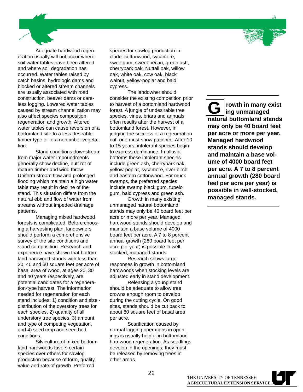Adequate hardwood regeneration usually will not occur where soil water tables have been altered and where soil degradation has occurred. Water tables raised by catch basins, hydrologic dams and blocked or altered stream channels are usually associated with road construction, beaver dams or careless logging. Lowered water tables caused by stream channelization may also affect species composition, regeneration and growth. Altered water tables can cause reversion of a bottomland site to a less desirable timber type or to a nontimber vegetation.

Stand conditions downstream from major water impoundments generally show decline, butt rot of mature timber and wind throw. Uniform stream flow and prolonged flooding which maintain a high water table may result in decline of the stand. This situation differs from the natural ebb and flow of water from streams without impeded drainage patterns.

Managing mixed hardwood forests is complicated. Before choosing a harvesting plan, landowners should perform a comprehensive survey of the site conditions and stand composition. Research and experience have shown that bottomland hardwood stands with less than 20, 40 and 60 square feet per acre of basal area of wood, at ages 20, 30 and 40 years respectively, are potential candidates for a regeneration-type harvest. The information needed for regeneration for each stand includes: 1) condition and size distribution of the overstory trees for each species, 2) quantity of all understory tree species, 3) amount and type of competing vegetation, and 4) seed crop and seed bed conditions.

Silviculture of mixed bottomland hardwoods favors certain species over others for sawlog production because of form, quality, value and rate of growth. Preferred

species for sawlog production include: cottonwood, sycamore, sweetgum, sweet pecan, green ash, cherrybark oak, Nuttall oak, willow oak, white oak, cow oak, black walnut, yellow-poplar and bald cypress.

The landowner should consider the existing competition prior to harvest of a bottomland hardwood forest. A jungle of undesirable tree species, vines, briars and annuals often results after the harvest of a bottomland forest. However, in judging the success of a regeneration cut, one must show patience. After 10 to 15 years, intolerant species begin to express dominance. In alluvial bottoms these intolerant species include green ash, cherrybark oak, yellow-poplar, sycamore, river birch and eastern cottonwood. For muck swamps, the preferred species include swamp black gum, tupelo gum, bald cypress and green ash.

Growth in many existing unmanaged natural bottomland stands may only be 40 board feet per acre or more per year. Managed hardwood stands should develop and maintain a base volume of 4000 board feet per acre. A 7 to 8 percent annual growth (280 board feet per acre per year) is possible in wellstocked, managed stands.

Research shows large responses in growth in bottomland hardwoods when stocking levels are adjusted early in stand development.

Releasing a young stand should be adequate to allow tree crowns enough room to develop during the cutting cycle. On good sites, stands should be cut back to about 80 square feet of basal area per acre.

Scarification caused by normal logging operations in openings is usually helpful in bottomland hardwood regeneration. As seedlings develop in the openings, they must be released by removing trees in other areas.

**G rowth in many exist ing unmanaged natural bottomland stands may only be 40 board feet per acre or more per year. Managed hardwood stands should develop and maintain a base volume of 4000 board feet per acre. A 7 to 8 percent annual growth (280 board feet per acre per year) is possible in well-stocked, managed stands.**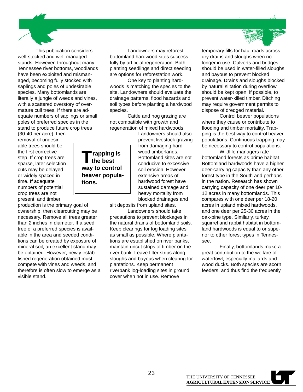This publication considers well-stocked and well-managed stands. However, throughout many Tennessee river bottoms, woodlands have been exploited and mismanaged, becoming fully stocked with saplings and poles of undesirable species. Many bottomlands are literally a jungle of weeds and vines, with a scattered overstory of overmature cull trees. If there are adequate numbers of saplings or small poles of preferred species in the stand to produce future crop trees

(30-40 per acre), then removal of undesirable trees should be the first corrective step. If crop trees are sparse, later selection cuts may be delayed or widely spaced in time. If adequate numbers of potential crop trees are not present, and timber

production is the primary goal of ownership, then clearcutting may be necessary. Remove all trees greater than 2 inches in diameter. If a seed tree of a preferred species is available in the area and seeded conditions can be created by exposure of mineral soil, an excellent stand may be obtained. However, newly established regeneration obtained must compete with vines and weeds, and therefore is often slow to emerge as a visible stand.

Landowners may reforest bottomland hardwood sites successfully by artificial regeneration. Both planting seedlings and direct seeding are options for reforestation work.

One key to planting hardwoods is matching the species to the site. Landowners should evaluate the drainage patterns, flood hazards and soil types before planting a hardwood species.

Cattle and hog grazing are not compatible with growth and regeneration of mixed hardwoods.

**Trapping is the best way to control beaver popula-**

**tions.**

Landowners should also prevent livestock grazing from damaging hardwood timberlands. Bottomland sites are not conducive to excessive soil erosion. However, extensive areas of hardwood forest have sustained damage and heavy mortality from blocked drainages and

silt deposits from upland sites. Landowners should take

precautions to prevent blockages in the natural drains of bottomland soils. Keep clearings for log loading sites as small as possible. Where plantations are established on river banks, maintain uncut strips of timber on the river bank. Leave filter strips along sloughs and bayous when clearing for plantations. Keep permanent riverbank log-loading sites in ground cover when not in use. Remove



Control beaver populations where they cause or contribute to flooding and timber mortality. Trapping is the best way to control beaver populations. Continuous trapping may be necessary to control populations.

Wildlife managers rate bottomland forests as prime habitat. Bottomland hardwoods have a higher deer-carrying capacity than any other forest type in the South and perhaps in the nation. Research has shown carrying capacity of one deer per 10- 12 acres in many bottomlands. This compares with one deer per 18-20 acres in upland mixed hardwoods, and one deer per 25-30 acres in the oak-pine type. Similarly, turkey, squirrel and rabbit habitat in bottomland hardwoods is equal to or superior to other forest types in Tennessee.

Finally, bottomlands make a great contribution to the welfare of waterfowl, especially mallards and wood ducks. Both species are acorn feeders, and thus find the frequently



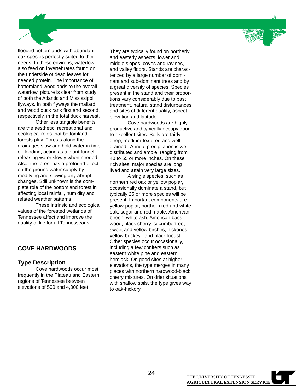

flooded bottomlands with abundant oak species perfectly suited to their needs. In these environs, waterfowl also feed on invertebrates found on the underside of dead leaves for needed protein. The importance of bottomland woodlands to the overall waterfowl picture is clear from study of both the Atlantic and Mississippi flyways. In both flyways the mallard and wood duck rank first and second, respectively, in the total duck harvest.

Other less tangible benefits are the aesthetic, recreational and ecological roles that bottomland forests play. Forests along the drainages slow and hold water in time of flooding, acting as a giant funnel releasing water slowly when needed. Also, the forest has a profound effect on the ground water supply by modifying and slowing any abrupt changes. Still unknown is the complete role of the bottomland forest in affecting local rainfall, humidity and related weather patterns.

These intrinsic and ecological values of the forested wetlands of Tennessee affect and improve the quality of life for all Tennesseans.

### **COVE HARDWOODS**

### **Type Description**

Cove hardwoods occur most frequently in the Plateau and Eastern regions of Tennessee between elevations of 500 and 4,000 feet.

They are typically found on northerly and easterly aspects, lower and middle slopes, coves and ravines, and valley floors. Stands are characterized by a large number of dominant and sub-dominant trees and by a great diversity of species. Species present in the stand and their proportions vary considerably due to past treatment, natural stand disturbances and sites of different quality, aspect, elevation and latitude.

Cove hardwoods are highly productive and typically occupy goodto-excellent sites. Soils are fairly deep, medium-textured and welldrained. Annual precipitation is well distributed and ample, ranging from 40 to 55 or more inches. On these rich sites, major species are long lived and attain very large sizes.

A single species, such as northern red oak or yellow poplar, occasionally dominate a stand, but typically 25 or more species will be present. Important components are yellow-poplar, northern red and white oak, sugar and red maple, American beech, white ash, American basswood, black cherry, cucumbertree, sweet and yellow birches, hickories, yellow buckeye and black locust. Other species occur occasionally, including a few conifers such as eastern white pine and eastern hemlock. On good sites at higher elevations, the type merges in many places with northern hardwood-black cherry mixtures. On drier situations with shallow soils, the type gives way to oak-hickory.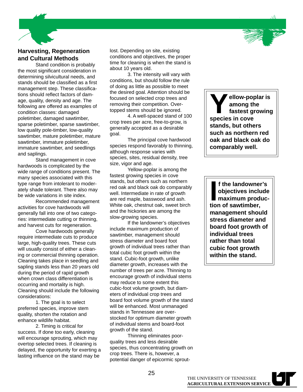

### **Harvesting, Regeneration and Cultural Methods**

Stand condition is probably the most significant consideration in determining silvicultural needs, and stands should be classified as a first management step. These classifications should reflect factors of damage, quality, density and age. The following are offered as examples of condition classes: damaged poletimber, damaged sawtimber, sparse poletimber, sparse sawtimber, low quality pole-timber, low-quality sawtimber, mature poletimber, mature sawtimber, immature poletimber, immature sawtimber, and seedlings and saplings.

Stand management in cove hardwoods is complicated by the wide range of conditions present. The many species associated with this type range from intolerant to moderately shade tolerant. There also may be wide variations in site index.

Recommended management activities for cove hardwoods will generally fall into one of two categories: intermediate cutting or thinning, and harvest cuts for regeneration.

Cove hardwoods generally require intermediate cuts to produce large, high-quality trees. These cuts will usually consist of either a cleaning or commercial thinning operation. Cleaning takes place in seedling and sapling stands less than 20 years old during the period of rapid growth when crown class differentiation is occurring and mortality is high. Cleaning should include the following considerations:

1. The goal is to select preferred species, improve stem quality, shorten the rotation and enhance wildlife habitat.

2. Timing is critical for success. If done too early, cleaning will encourage sprouting, which may overtop selected trees. If cleaning is delayed, the opportunity for exerting a lasting influence on the stand may be

lost. Depending on site, existing conditions and objectives, the proper time for cleaning is when the stand is about 10 years old.

3. The intensity will vary with conditions, but should follow the rule of doing as little as possible to meet the desired goal. Attention should be focused on selected crop trees and removing their competition. Overtopped stems should be ignored.

4. A well-spaced stand of 100 crop trees per acre, free-to-grow, is generally accepted as a desirable goal.

The principal cove hardwood species respond favorably to thinning, although response varies with species, sites, residual density, tree size, vigor and age.

Yellow-poplar is among the fastest growing species in cove stands, but others such as northern red oak and black oak do comparably well. Intermediate in rate of growth are red maple, basswood and ash. White oak, chestnut oak, sweet birch and the hickories are among the slow-growing species.

If the landowner's objectives include maximum production of sawtimber, management should stress diameter and board foot growth of individual trees rather than total cubic foot growth within the stand. Cubic-foot growth, unlike diameter growth, increases with the number of trees per acre. Thinning to encourage growth of individual stems may reduce to some extent this cubic-foot volume growth, but diameters of individual crop trees and board foot volume growth of the stand will be enhanced. Most unmanaged stands in Tennessee are overstocked for optimum diameter growth of individual stems and board-foot growth of the stand.

Thinning eliminates poorquality trees and less desirable species, thus concentrating growth on crop trees. There is, however, a potential danger of epicormic sprout-

**Yellow-poplar is among the fastest growing species in cove stands, but others such as northern red oak and black oak do comparably well.**

**I** f the landowne<br>
objectives inclum<br>
maximum prod<br>
tion of sawtimber, **f the landowner's objectives include maximum producmanagement should stress diameter and board foot growth of individual trees rather than total cubic foot growth within the stand.**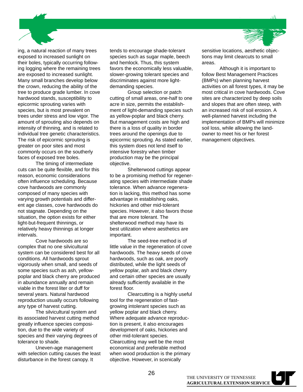

ing, a natural reaction of many trees exposed to increased sunlight on their boles, typically occurring following logging where the remaining trees are exposed to increased sunlight. Many small branches develop below the crown, reducing the ability of the tree to produce grade lumber. In cove hardwood stands, susceptibility to epicormic sprouting varies with species, but is most prevalent on trees under stress and low vigor. The amount of sprouting also depends on intensity of thinning, and is related to individual tree genetic characteristics. The risk of epicormic sprouting is greater on poor sites and most commonly occurs on the southerly faces of exposed tree boles.

The timing of intermediate cuts can be quite flexible, and for this reason, economic considerations often influence scheduling. Because cove hardwoods are commonly composed of many species with varying growth potentials and different age classes, cove hardwoods do not stagnate. Depending on the situation, the option exists for either light-but-frequent thinnings, or relatively heavy thinnings at longer intervals.

Cove hardwoods are so complex that no one silvicultural system can be considered best for all conditions. All hardwoods sprout vigorously when small, and seeds of some species such as ash, yellowpoplar and black cherry are produced in abundance annually and remain viable in the forest liter or duff for several years. Natural hardwood reproduction usually occurs following any type of harvest cutting.

The silvicultural system and its associated harvest cutting method greatly influence species composition, due to the wide variety of species and their varying degrees of tolerance to shade.

Uneven-age management with selection cutting causes the least disturbance in the forest canopy. It

tends to encourage shade-tolerant species such as sugar maple, beech and hemlock. Thus, this system favors the economically less valuable, slower-growing tolerant species and discriminates against more lightdemanding species.

Group selection or patch cutting of small areas, one-half to one acre in size, permits the establishment of light-demanding species such as yellow-poplar and black cherry. But management costs are high and there is a loss of quality in border trees around the openings due to epicormic sprouting. As stated earlier, this system does not lend itself to intensive forestry when timber production may be the principal objective.

Shelterwood cuttings appear to be a promising method for regenerating species with intermediate shade tolerance. When advance regeneration is lacking, this method has some advantage in establishing oaks, hickories and other mid-tolerant species. However, it also favors those that are more tolerant. The shelterwood method may have its best utilization where aesthetics are important.

The seed-tree method is of little value in the regeneration of cove hardwoods. The heavy seeds of cove hardwoods, such as oak, are poorly distributed, while the light seeds of yellow poplar, ash and black cherry and certain other species are usually already sufficiently available in the forest floor.

Clearcutting is a highly useful tool for the regeneration of fastgrowing intolerant species such as yellow poplar and black cherry. Where adequate advance reproduction is present, it also encourages development of oaks, hickories and other mid-tolerant species. Clearcutting may well be the most economical and preferable method when wood production is the primary objective. However, in scenically

sensitive locations, aesthetic objections may limit clearcuts to small areas.

Although it is important to follow Best Management Practices (BMPs) when planning harvest activities on all forest types, it may be most critical in cove hardwoods. Cove sites are characterized by deep soils and slopes that are often steep, with an increased risk of soil erosion. A well-planned harvest including the implementation of BMPs will minimize soil loss, while allowing the landowner to meet his or her forest management objectives.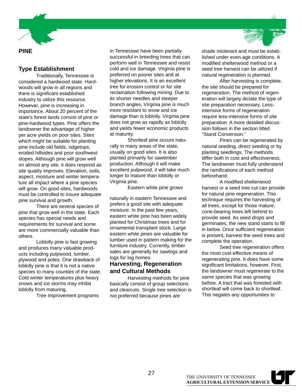

### **Type Establishment**

Traditionally, Tennessee is considered a hardwood state. Hardwoods will grow in all regions and there is significant established industry to utilize this resource. However, pine is increasing in importance. About 20 percent of the state's forest lands consist of pine or pine-hardwood types. Pine offers the landowner the advantage of higher per acre yields on poor sites. Sites which might be suitable for planting pine include old fields, ridgetops, eroded hillsides and poor southwest slopes. Although pine will grow well on almost any site, it does respond as site quality improves. Elevation, soils, aspect, moisture and winter temperature all impact where a pine species will grow. On good sites, hardwoods must be controlled to insure adequate pine survival and growth.

There are several species of pine that grow well in the state. Each species has special needs and requirements for survival and some are more commercially valuable than others.

Loblolly pine is fast growing and produces many valuable products including pulpwood, lumber, plywood and poles. One drawback of loblolly pine is that it is not a native species to many counties of the state. Cold winter temperatures plus heavy snows and ice storms may inhibit loblolly from maturing.

Tree improvement programs

in Tennessee have been partially successful in breeding trees that can perform well in Tennessee and resist cold and ice damage. Virginia pine is preferred on poorer sites and at higher elevations. It is an excellent tree for erosion control or for site reclamation following mining. Due to its shorter needles and steeper branch angles, Virginia pine is much more resistant to snow and ice damage than is loblolly. Virginia pine does not grow as rapidly as loblolly and yields fewer economic products at maturity.

Shortleaf pine occurs naturally in many areas of the state, usually on good sites. It is also planted primarily for sawtimber production. Although it will make excellent pulpwood, it will take much longer to mature than loblolly or Virginia pine.

Eastern white pine grows

naturally in eastern Tennessee and prefers a good site with adequate moisture. In the past few years, eastern white pine has been widely planted for Christmas trees and for ornamental transplant stock. Large eastern white pines are valuable for lumber used in pattern making for the furniture industry. Currently, timber sales are generally for sawlogs and logs for log homes.

### **Harvesting, Regeneration and Cultural Methods**

Harvesting methods for pine basically consist of group selections and clearcuts. Single tree selection is not preferred because pines are

shade intolerant and must be established under even-age conditions. A modified shelterwood method or a seed tree harvest can be utilized if natural regeneration is planned.

After harvesting is complete, the site should be prepared for regeneration. The method of regeneration will largely dictate the type of site preparation necessary. Lessintensive forms of regeneration require less-intensive forms of site preparation. A more detailed discussion follows in the section titled "Stand Conversion."

Pines can be regenerated by natural seeding, direct seeding or by planting seedlings. The methods differ both in cost and effectiveness. The landowner must fully understand the ramifications of each method beforehand.

A modified shelterwood harvest or a seed tree cut can provide for natural pine regeneration. This technique requires the harvesting of all trees, except for those mature, cone-bearing trees left behind to provide seed. As seed drops and germinates, the new stand starts to fill in below. Once sufficient regeneration is present, harvest the seed trees and complete the operation.

Seed tree regeneration offers the most cost-effective means of regenerating pine. It does have some significant limitations, however. First, the landowner must regenerate to the same species that was growing before. A tract that was forested with shortleaf will come back to shortleaf. This negates any opportunities to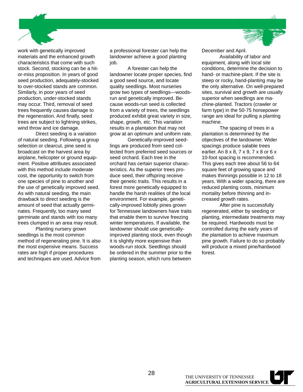

work with genetically improved materials and the enhanced growth characteristics that come with such stock. Second, stocking can be a hitor-miss proposition. In years of good seed production, adequately-stocked to over-stocked stands are common. Similarly, in poor years of seed production, under-stocked stands may occur. Third, removal of seed trees frequently causes damage to the regeneration. And finally, seed trees are subject to lightning strikes, wind throw and ice damage.

Direct seeding is a variation of natural seeding. Following a group selection or clearcut, pine seed is broadcast on the harvest area by airplane, helicopter or ground equipment. Positive attributes associated with this method include moderate cost, the opportunity to switch from one species of pine to another and the use of genetically improved seed. As with natural seeding, the main drawback to direct seeding is the amount of seed that actually germinates. Frequently, too many seed germinate and stands with too many trees clumped in an area may result.

Planting nursery grown seedlings is the most common method of regenerating pine. It is also the most expensive means. Success rates are high if proper procedures and techniques are used. Advice from

a professional forester can help the landowner achieve a good planting job.

A forester can help the landowner locate proper species, find a good seed source, and locate quality seedlings. Most nurseries grow two types of seedlings—woodsrun and genetically improved. Because woods-run seed is collected from a variety of trees, the seedlings produced exhibit great variety in size, shape, growth, etc. This variation results in a plantation that may not grow at an optimum and uniform rate.

Genetically-improved seedlings are produced from seed collected from preferred seed sources or seed orchard. Each tree in the orchard has certain superior characteristics. As the superior trees produce seed, their offspring receive their genetic traits. This results in a forest more genetically equipped to handle the harsh realities of the local environment. For example, genetically-improved loblolly pines grown for Tennessee landowners have traits that enable them to survive freezing winter temperatures. If available, the landowner should use geneticallyimproved planting stock, even though it is slightly more expensive than woods-run stock. Seedlings should be ordered in the summer prior to the planting season, which runs between

December and April.

Availability of labor and equipment, along with local site conditions, determine the decision to hand- or machine-plant. If the site is steep or rocky, hand-planting may be the only alternative. On well-prepared sites, survival and growth are usually superior when seedlings are machine-planted. Tractors (crawler or farm type) in the 50-75 horsepower range are ideal for pulling a planting machine.

The spacing of trees in a plantation is determined by the objectives of the landowner. Wider spacings produce salable trees earlier. An 8 x 8, 7 x 9, 7 x 8 or 6 x 10-foot spacing is recommended. This gives each tree about 56 to 64 square feet of growing space and makes thinnings possible in 12 to 18 years. With a wider spacing, there are reduced planting costs, minimum mortality before thinning and increased growth rates.

After pine is successfully regenerated, either by seeding or planting, intermediate treatments may be required. Hardwoods must be controlled during the early years of the plantation to achieve maximum pine growth. Failure to do so probably will produce a mixed pine/hardwood forest.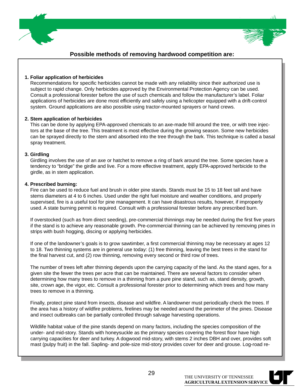

### **Possible methods of removing hardwood competition are:**

### Recommendations for specific herbicides cannot be made with any reliability since their authorized use is **1. Foliar application of herbicides**

Recommendations for specific herbicides cannot be made with any reliability since their authorized use is subject to rapid change. Only herbicides approved by the Environmental Protection Agency can be used. Consult a professional forester before the use of such chemicals and follow the manufacturer's label. Foliar applications of herbicides are done most efficiently and safely using a helicopter equipped with a drift-control system. Ground applications are also possible using tractor-mounted sprayers or hand crews.

### This can be done by applying EPA-approved chemicals to an axe-made frill around the tree, or with tree injec-**2. Stem application of herbicides**

This can be done by applying EPA-approved chemicals to an axe-made frill around the tree, or with tree injectors at the base of the tree. This treatment is most effective during the growing season. Some new herbicides can be sprayed directly to the stem and absorbed into the tree through the bark. This technique is called a basal spray treatment.

#### **3. Girdling**

 Girdling involves the use of an axe or hatchet to remove a ring of bark around the tree. Some species have a Girdling involves the use of an axe or hatchet to remove a ring of bark around the tree. Some species have a tendency to "bridge" the girdle and live. For a more effective treatment, apply EPA-approved herbicide to the girdle, as in stem application.

#### **4. Prescribed burning:**

 $\Gamma$  rescribed burning:  $\Gamma$  is and brush in older pine stands. Stands must be 15 to 18 feet tall and have tall and have tall and have tall and have tall and have tall and have tall and have tall and have tall and have ta Fire can be used to reduce fuel and brush in older pine stands. Stands must be 15 to 18 feet tall and have stems diameters at 4 to 6 inches. Used under the right fuel moisture and weather conditions, and properly supervised, fire is a useful tool for pine management. It can have disastrous results, however, if improperly used. A state burning permit is required. Consult with a professional forester before any prescribed burn.

If overstocked (such as from direct seeding), pre-commercial thinnings may be needed during the first five years if the stand is to achieve any reasonable growth. Pre-commercial thinning can be achieved by removing pines in strips with bush hogging, discing or applying herbicides.

If one of the landowner's goals is to grow sawtimber, a first commercial thinning may be necessary at ages 12 to 18. Two thinning systems are in general use today: (1) free thinning, leaving the best trees in the stand for the final harvest cut, and (2) row thinning, removing every second or third row of trees.

The number of trees left after thinning depends upon the carrying capacity of the land. As the stand ages, for a given site the fewer the trees per acre that can be maintained. There are several factors to consider when determining how many trees to remove in a thinning from a pure pine stand, such as, stand density, growth, site, crown age, the vigor, etc. Consult a professional forester prior to determining which trees and how many trees to remove in a thinning.

Finally, protect pine stand from insects, disease and wildfire. A landowner must periodically check the trees. If the area has a history of wildfire problems, firelines may be needed around the perimeter of the pines. Disease and insect outbreaks can be partially controlled through salvage harvesting operations.

Wildlife habitat value of the pine stands depend on many factors, including the species composition of the under- and mid-story. Stands with honeysuckle as the primary species covering the forest floor have high carrying capacities for deer and turkey. A dogwood mid-story, with stems 2 inches DBH and over, provides soft mast (pulpy fruit) in the fall. Sapling- and pole-size mid-story provides cover for deer and grouse. Log-road re-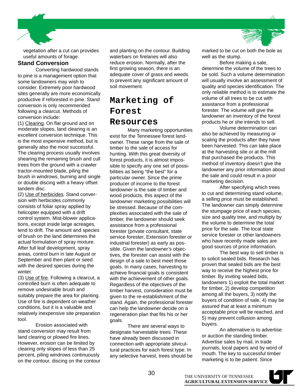

vegetation after a cut can provides useful amounts of forage.

### **Stand Conversion**

Converting hardwood stands to pine is a management option that some landowners may wish to consider. Extremely poor hardwood sites generally are more economically productive if reforested in pine. Stand conversion is only recommended following a clearcut. Methods of conversion include:

(1) Clearing. On flat ground and on moderate slopes, land clearing is an excellent conversion technique. This is the most expensive method, but is generally also the most successful. The clearing process usually involves shearing the remaining brush and cull trees from the ground with a crawler tractor-mounted blade, piling the brush in windrows, burning and single or double discing with a heavy offset tandem disc.

(2) Use of herbicides. Stand conversion with herbicides commonly consists of foliar spray applied by helicopter equipped with a drift control system. Mist-blower applications, except inside large acreages, tend to drift. The amount and species of brush on the land determines the actual formulation of spray mixture. After full leaf development, spray areas, control burn in late August or September and then plant or seed with the desired species during the winter.

(3) Use of fire. Following a clearcut, a controlled burn is often adequate to remove undesirable brush and suitably prepare the area for planting. Use of fire is dependent on weather conditions, but it is a valuable and relatively inexpensive site preparation tool.

Erosion associated with stand conversion may result from land clearing or plowed fire lines. However, erosion can be limited by clearing only slopes of less than 25 percent, piling windrows continuously on the contour, discing on the contour and planting on the contour. Building waterbars on firelanes will also reduce erosion. Normally, after the first growing season, there is an adequate cover of grass and weeds to prevent any significant amount of soil movement.

### **Marketing of Forest Resources**

Many marketing opportunities exist for the Tennessee forest landowner. These range from the sale of timber to the sale of access for hunting. With this great diversity of forest products, it is almost impossible to specify any one set of possibilities as being "the best" for a particular owner. Since the prime producer of income to the forest landowner is the sale of timber and wood products, this aspect of the landowner marketing possibilities will be stressed. Because of the complexities associated with the sale of timber, the landowner should seek assistance from a professional forester (private consultant, state service forester, Extension forester or industrial forester) as early as possible. Given the landowner's objectives, the forester can assist with the design of a sale to best meet those goals. In many cases, harvesting to achieve financial goals is consistent with the achievement of other goals. Regardless of the objectives of the timber harvest, consideration must be given to the re-establishment of the stand. Again, the professional forester can help the landowner decide on a regeneration plan that fits his or her goals.

There are several ways to designate harvestable trees. These have already been discussed in connection with appropriate silvicultural practices for each forest type. In any selective harvest, trees should be

30



marked to be cut on both the bole as well as the stump.

Before making a sale, determine the volume of the trees to be sold. Such a volume determination will usually involve an assessment of quality and species identification. The only reliable method is to estimate the volume of all trees to be cut with assistance from a professional forester. The volume will give the landowner an inventory of the forest products he or she intends to sell.

Volume determination can also be achieved by measuring or scaling the products after they have been harvested. This can take place at the harvesting site or at the mill that purchased the products. This method of inventory doesn't give the landowner any prior information about the sale and could result in a poor marketing decision.

After specifying which trees to cut and determining stand volume, a selling price must be established. The landowner can simply determine the stumpage price of each species, size and quality tree, and multiply by the volume to determine the total price for the sale. The local state service forester or other landowners who have recently made sales are good sources of price information.

The best way to sell timber is to solicit sealed bids. Research has proven that sealed bids are the best way to receive the highest price for timber. By inviting sealed bids, landowners 1) exploit the total market for timber, 2) develop competition among all the buyers, 3) notify the buyers of condition of sale, 4) may be assured that at least a minimum acceptable price will be reached, and 5) may prevent collusion among buyers.

An alternative is to advertise or auction the standing timber. Advertise sales by mail, in trade journals, local papers and by word of mouth. The key to successful timber marketing is to be patient. Since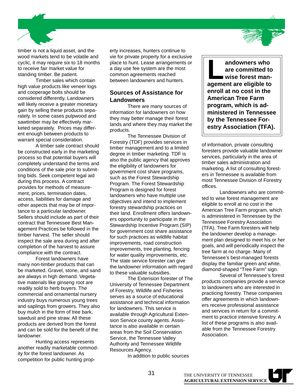

timber is not a liquid asset, and the wood markets tend to be volatile and cyclic, it may require six to 18 months to receive fair market value for standing timber. Be patient.

Timber sales which contain high value products like veneer logs and cooperage bolts should be considered differently. Landowners will likely receive a greater monetary gain by selling these products separately. In some cases pulpwood and sawtimber may be effectively marketed separately. Prices may different enough between products to warrant special consideration.

A timber sale contract should be constructed early in the marketing process so that potential buyers will completely understand the terms and conditions of the sale prior to submitting bids. Seek competent legal aid during this process. A contract provides for methods of measurement, prices, termination dates, access, liabilities for damage and other aspects that may be of importance to a particular landowner. Sellers should include as part of their contract that Tennessee Best Management Practices be followed in the timber harvest. The seller should inspect the sale area during and after completion of the harvest to assure compliance with the contract.

Forest landowners have many non-timber products that can be marketed. Gravel, stone, and sand are always in high demand. Vegetative materials like ginseng root are readily sold to herb buyers. The commercial and ornamental nursery industry buys numerous young trees and saplings from growers. They also buy mulch in the form of tree bark, sawdust and pine straw. All these products are derived from the forest and can be sold for the benefit of the landowner.

Hunting access represents another readily marketable commodity for the forest landowner. As competition for public hunting property increases, hunters continue to vie for private property for a exclusive place to hunt. Lease arrangements or a day use fee system are the most common agreements reached between landowners and hunters.

### **Sources of Assistance for Landowners**

There are many sources of information for landowners on how they may better manage their forest lands and where they may market the products.

The Tennessee Division of Forestry (TDF) provides services in timber management and to a limited degree in timber marketing. TDF is also the public agency that approves the eligibility of landowners for government cost share programs, such as the Forest Stewardship Program. The Forest Stewardship Program is designed for forest landowners who have multiple use objectives and intend to implement forestry stewardship practices on their land. Enrollment offers landowners opportunity to participate in the Stewardship Incentive Program (SIP) for government cost share assistance for such practices as wildlife habitat improvements, road construction improvements, tree planting, fencing for water quality improvements, etc. The state service forester can give the landowner information with regard to these valuable subsidies.

The Extension forester of The University of Tennessee Department of Forestry, Wildlife and Fisheries serves as a source of educational assistance and technical information for landowners. This service is available through Agricultural Extension Service county agents. Assistance is also available in certain areas from the Soil Conservation Service, the Tennessee Valley Authority and Tennessee Wildlife Resources Agency.

In addition to public sources

**Landowners who**<br>
are committed to<br>
wise forest man<br>
are oligible to **are committed to wise forest management are eligible to enroll at no cost in the American Tree Farm program, which is administered in Tennessee by the Tennessee Forestry Association (TFA).**

of information, private consulting foresters provide valuable landowner services, particularly in the area of timber sales administration and marketing. A list of consulting foresters in Tennessee is available from most Tennessee Division of Forestry offices.

Landowners who are committed to wise forest management are eligible to enroll at no cost in the American Tree Farm program, which is administered in Tennessee by the Tennessee Forestry Association (TFA). Tree Farm foresters will help the landowner develop a management plan designed to meet his or her goals, and will periodically inspect the tree farm at no charge. Many of Tennessee's best-managed forests display the familiar green and white, diamond-shaped "Tree Farm" sign.

Several of Tennessee's forest products companies provide a service to landowners who are interested in practicing forestry. These companies offer agreements in which landowners receive professional assistance and services in return for a commitment to practice intensive forestry. A list of these programs is also available from the Tennessee Forestry Association.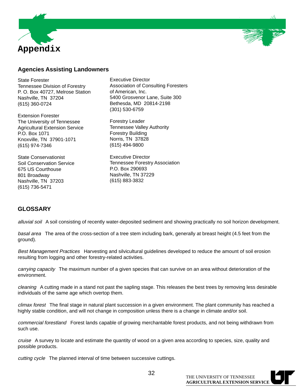



### **Agencies Assisting Landowners**

State Forester Tennessee Division of Forestry P. O. Box 40727, Melrose Station Nashville, TN 37204 (615) 360-0724

Extension Forester The University of Tennessee Agricultural Extension Service P.O. Box 1071 Knoxville, TN 37901-1071 (615) 974-7346

State Conservationist Soil Conservation Service 675 US Courthouse 801 Broadway Nashville, TN 37203 (615) 736-5471

Executive Director Association of Consulting Foresters of American, Inc. 5400 Grosvenor Lane, Suite 300 Bethesda, MD 20814-2198 (301) 530-6759

Forestry Leader Tennessee Valley Authority Forestry Building Norris, TN 37828 (615) 494-9800

Executive Director Tennessee Forestry Association P.O. Box 290693 Nashville, TN 37229 (615) 883-3832

### **GLOSSARY**

alluvial soil A soil consisting of recently water-deposited sediment and showing practically no soil horizon development.

basal area The area of the cross-section of a tree stem including bark, generally at breast height (4.5 feet from the ground).

Best Management Practices Harvesting and silvicultural guidelines developed to reduce the amount of soil erosion resulting from logging and other forestry-related activities.

carrying capacity The maximum number of a given species that can survive on an area without deterioration of the environment.

cleaning A cutting made in a stand not past the sapling stage. This releases the best trees by removing less desirable individuals of the same age which overtop them.

climax forest The final stage in natural plant succession in a given environment. The plant community has reached a highly stable condition, and will not change in composition unless there is a change in climate and/or soil.

commercial forestland Forest lands capable of growing merchantable forest products, and not being withdrawn from such use.

cruise A survey to locate and estimate the quantity of wood on a given area according to species, size, quality and possible products.

cutting cycle The planned interval of time between successive cuttings.

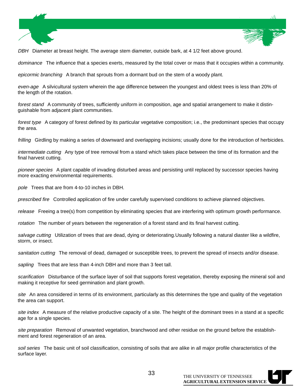

DBH Diameter at breast height. The average stem diameter, outside bark, at 4 1/2 feet above ground.

dominance The influence that a species exerts, measured by the total cover or mass that it occupies within a community.

epicormic branching A branch that sprouts from a dormant bud on the stem of a woody plant.

even-age A silvicultural system wherein the age difference between the youngest and oldest trees is less than 20% of the length of the rotation.

forest stand A community of trees, sufficiently uniform in composition, age and spatial arrangement to make it distinguishable from adjacent plant communities.

forest type A category of forest defined by its particular vegetative composition; i.e., the predominant species that occupy the area.

frilling Girdling by making a series of downward and overlapping incisions; usually done for the introduction of herbicides.

intermediate cutting Any type of tree removal from a stand which takes place between the time of its formation and the final harvest cutting.

pioneer species A plant capable of invading disturbed areas and persisting until replaced by successor species having more exacting environmental requirements.

pole Trees that are from 4-to-10 inches in DBH.

prescribed fire Controlled application of fire under carefully supervised conditions to achieve planned objectives.

release Freeing a tree(s) from competition by eliminating species that are interfering with optimum growth performance.

rotation The number of years between the regeneration of a forest stand and its final harvest cutting.

salvage cutting Utilization of trees that are dead, dying or deteriorating.Usually following a natural diaster like a wildfire, storm, or insect.

sanitation cutting The removal of dead, damaged or susceptible trees, to prevent the spread of insects and/or disease.

sapling Trees that are less than 4-inch DBH and more than 3 feet tall.

scarification Disturbance of the surface layer of soil that supports forest vegetation, thereby exposing the mineral soil and making it receptive for seed germination and plant growth.

site An area considered in terms of its environment, particularly as this determines the type and quality of the vegetation the area can support.

site index A measure of the relative productive capacity of a site. The height of the dominant trees in a stand at a specific age for a single species.

site preparation Removal of unwanted vegetation, branchwood and other residue on the ground before the establishment and forest regeneration of an area.

soil series The basic unit of soil classification, consisting of soils that are alike in all major profile characteristics of the surface layer.



33